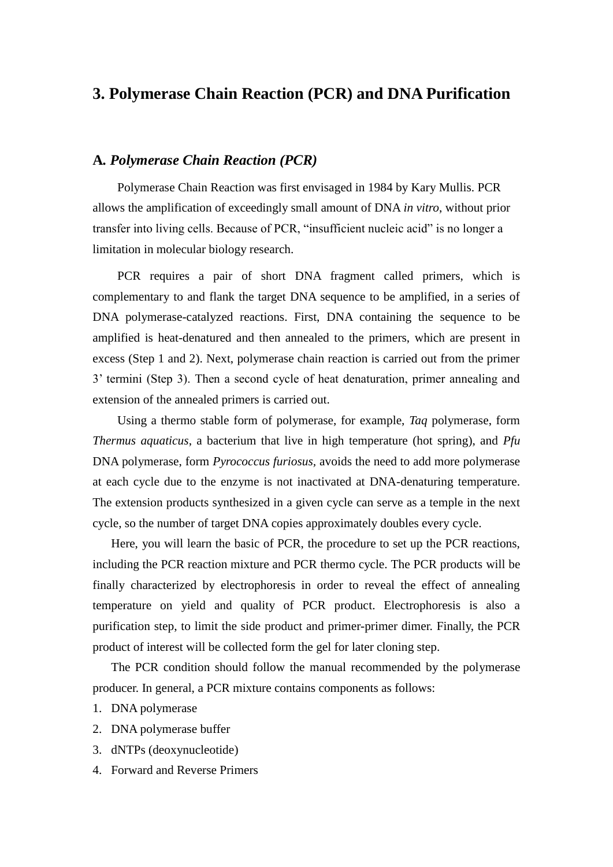### **3. Polymerase Chain Reaction (PCR) and DNA Purification**

#### **A***. Polymerase Chain Reaction (PCR)*

Polymerase Chain Reaction was first envisaged in 1984 by Kary Mullis. PCR allows the amplification of exceedingly small amount of DNA *in vitro*, without prior transfer into living cells. Because of PCR, "insufficient nucleic acid" is no longer a limitation in molecular biology research.

PCR requires a pair of short DNA fragment called primers, which is complementary to and flank the target DNA sequence to be amplified, in a series of DNA polymerase-catalyzed reactions. First, DNA containing the sequence to be amplified is heat-denatured and then annealed to the primers, which are present in excess (Step 1 and 2). Next, polymerase chain reaction is carried out from the primer 3' termini (Step 3). Then a second cycle of heat denaturation, primer annealing and extension of the annealed primers is carried out.

Using a thermo stable form of polymerase, for example, *Taq* polymerase, form *Thermus aquaticus*, a bacterium that live in high temperature (hot spring), and *Pfu* DNA polymerase, form *Pyrococcus furiosus,* avoids the need to add more polymerase at each cycle due to the enzyme is not inactivated at DNA-denaturing temperature. The extension products synthesized in a given cycle can serve as a temple in the next cycle, so the number of target DNA copies approximately doubles every cycle.

Here, you will learn the basic of PCR, the procedure to set up the PCR reactions, including the PCR reaction mixture and PCR thermo cycle. The PCR products will be finally characterized by electrophoresis in order to reveal the effect of annealing temperature on yield and quality of PCR product. Electrophoresis is also a purification step, to limit the side product and primer-primer dimer. Finally, the PCR product of interest will be collected form the gel for later cloning step.

The PCR condition should follow the manual recommended by the polymerase producer. In general, a PCR mixture contains components as follows:

- 1. DNA polymerase
- 2. DNA polymerase buffer
- 3. dNTPs (deoxynucleotide)
- 4. Forward and Reverse Primers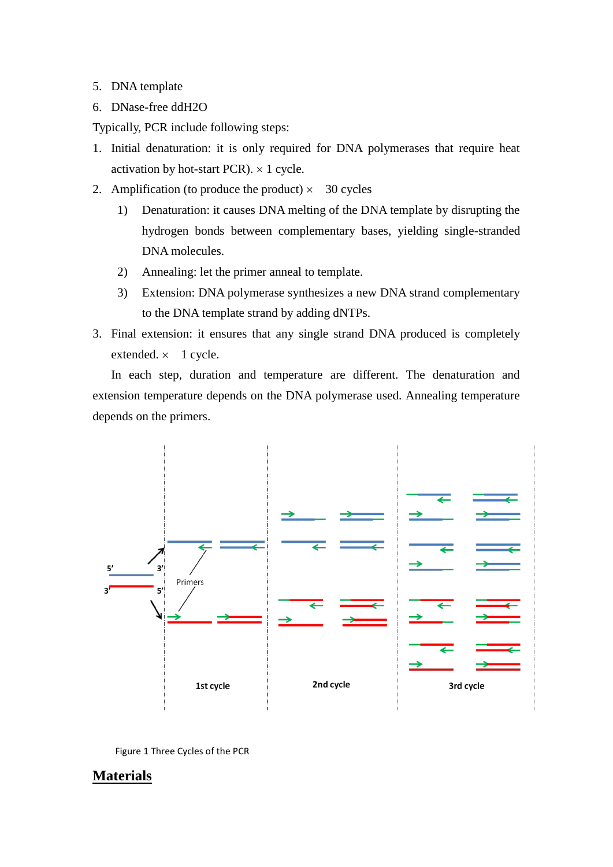- 5. DNA template
- 6. DNase-free ddH2O

Typically, PCR include following steps:

- 1. Initial denaturation: it is only required for DNA polymerases that require heat activation by hot-start PCR).  $\times$  1 cycle.
- 2. Amplification (to produce the product)  $\times$  30 cycles
	- 1) Denaturation: it causes DNA melting of the DNA template by disrupting the hydrogen bonds between complementary bases, yielding single-stranded DNA molecules.
	- 2) Annealing: let the primer anneal to template.
	- 3) Extension: DNA polymerase synthesizes a new DNA strand complementary to the DNA template strand by adding dNTPs.
- 3. Final extension: it ensures that any single strand DNA produced is completely extended.  $\times$  1 cycle.

In each step, duration and temperature are different. The denaturation and extension temperature depends on the DNA polymerase used. Annealing temperature depends on the primers.



Figure 1 Three Cycles of the PCR

### **Materials**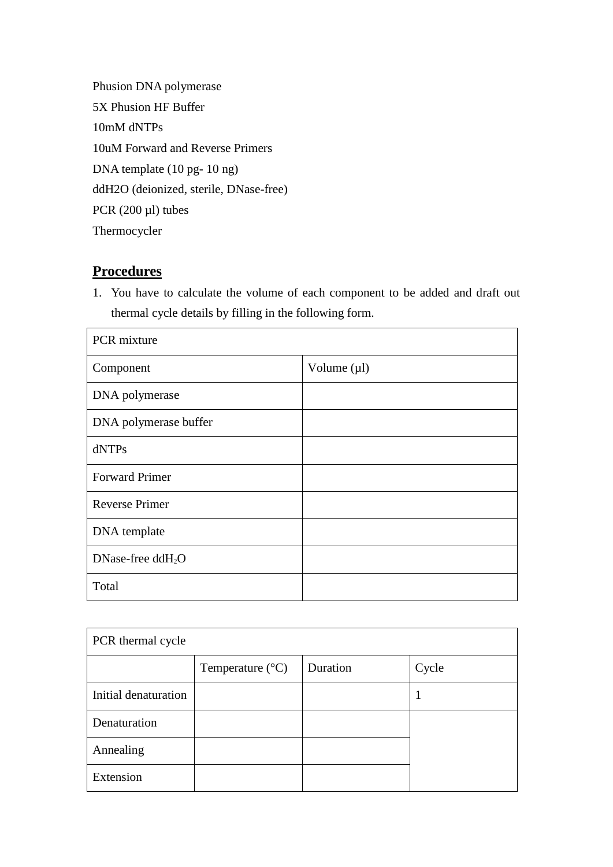Phusion DNA polymerase 5X Phusion HF Buffer 10mM dNTPs 10uM Forward and Reverse Primers DNA template (10 pg- 10 ng) ddH2O (deionized, sterile, DNase-free) PCR (200 µl) tubes Thermocycler

# **Procedures**

1. You have to calculate the volume of each component to be added and draft out thermal cycle details by filling in the following form.

| PCR mixture           |                  |  |
|-----------------------|------------------|--|
| Component             | Volume $(\mu l)$ |  |
| DNA polymerase        |                  |  |
| DNA polymerase buffer |                  |  |
| dNTPs                 |                  |  |
| <b>Forward Primer</b> |                  |  |
| <b>Reverse Primer</b> |                  |  |
| DNA template          |                  |  |
| DNase-free $ddH2O$    |                  |  |
| Total                 |                  |  |

| PCR thermal cycle    |                           |          |       |  |  |
|----------------------|---------------------------|----------|-------|--|--|
|                      | Temperature $(^{\circ}C)$ | Duration | Cycle |  |  |
| Initial denaturation |                           |          | L     |  |  |
| Denaturation         |                           |          |       |  |  |
| Annealing            |                           |          |       |  |  |
| Extension            |                           |          |       |  |  |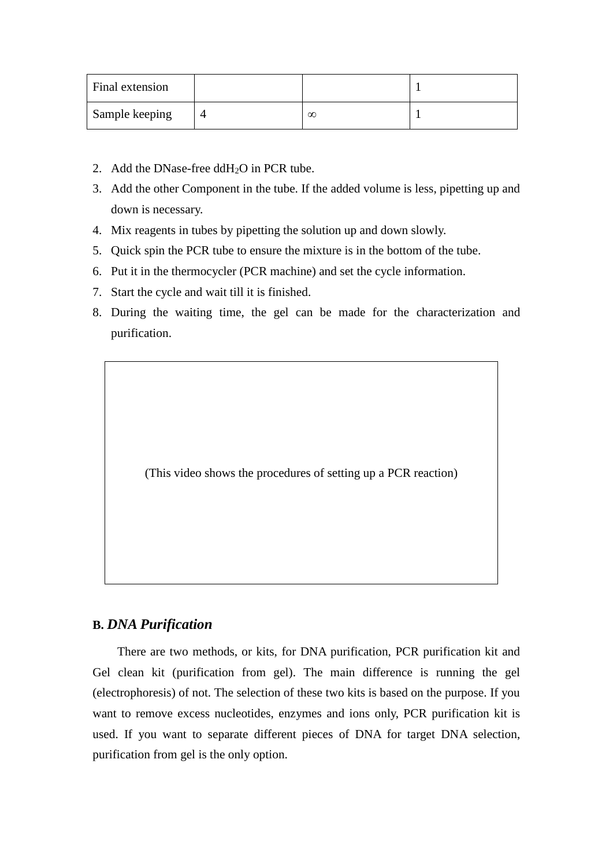| Final extension |   |  |
|-----------------|---|--|
| Sample keeping  | œ |  |

- 2. Add the DNase-free  $ddH<sub>2</sub>O$  in PCR tube.
- 3. Add the other Component in the tube. If the added volume is less, pipetting up and down is necessary.
- 4. Mix reagents in tubes by pipetting the solution up and down slowly.
- 5. Quick spin the PCR tube to ensure the mixture is in the bottom of the tube.
- 6. Put it in the thermocycler (PCR machine) and set the cycle information.
- 7. Start the cycle and wait till it is finished.
- 8. During the waiting time, the gel can be made for the characterization and purification.

(This video shows the procedures of setting up a PCR reaction)

#### **B.** *DNA Purification*

There are two methods, or kits, for DNA purification, PCR purification kit and Gel clean kit (purification from gel). The main difference is running the gel (electrophoresis) of not. The selection of these two kits is based on the purpose. If you want to remove excess nucleotides, enzymes and ions only, PCR purification kit is used. If you want to separate different pieces of DNA for target DNA selection, purification from gel is the only option.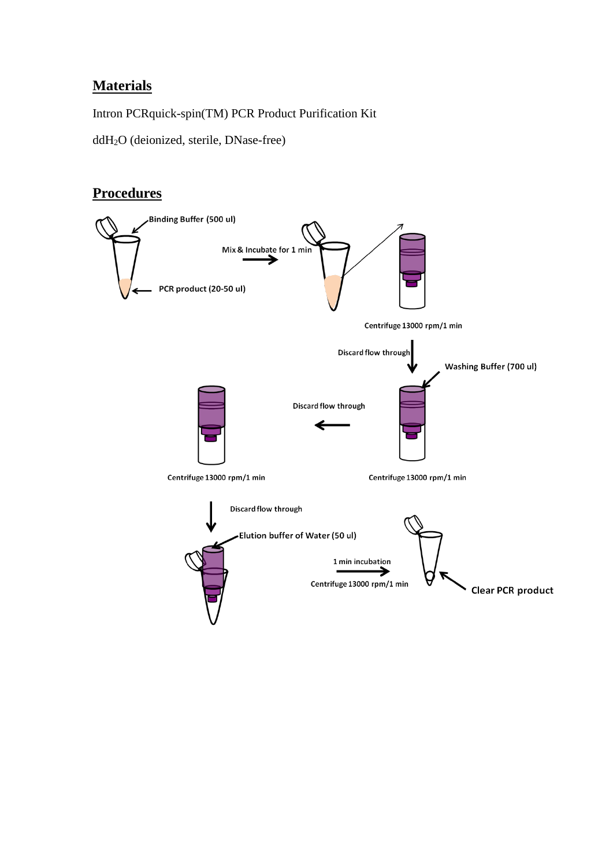## **Materials**

Intron PCRquick-spin(TM) PCR Product Purification Kit

ddH2O (deionized, sterile, DNase-free)

# **Procedures**